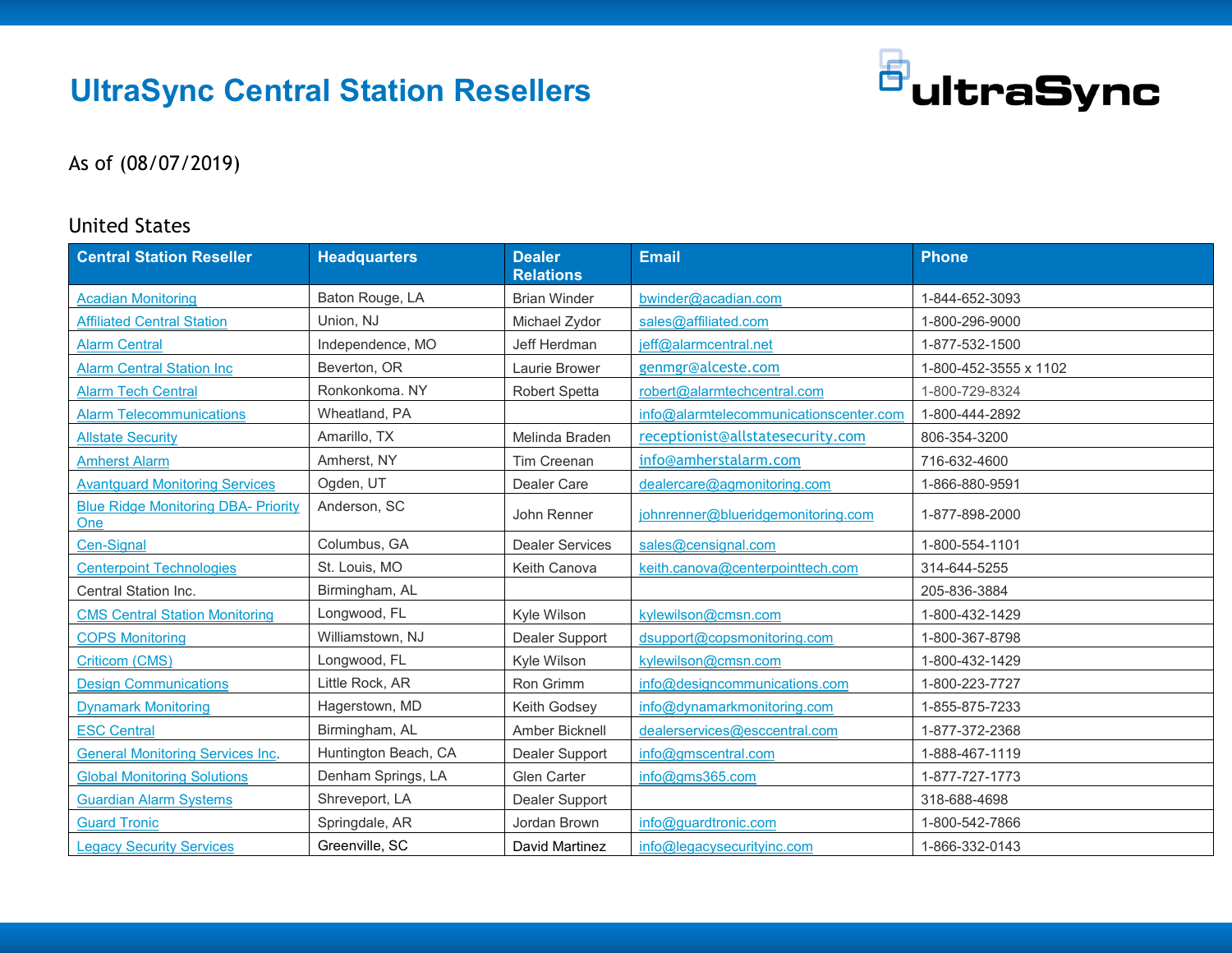# **UltraSync Central Station Resellers**



#### As of (08/07/2019)

#### United States

| <b>Central Station Reseller</b>                   | <b>Headquarters</b>  | <b>Dealer</b><br><b>Relations</b> | <b>Email</b>                           | <b>Phone</b>          |
|---------------------------------------------------|----------------------|-----------------------------------|----------------------------------------|-----------------------|
| <b>Acadian Monitoring</b>                         | Baton Rouge, LA      | <b>Brian Winder</b>               | bwinder@acadian.com                    | 1-844-652-3093        |
| <b>Affiliated Central Station</b>                 | Union, NJ            | Michael Zydor                     | sales@affiliated.com                   | 1-800-296-9000        |
| <b>Alarm Central</b>                              | Independence, MO     | Jeff Herdman                      | jeff@alarmcentral.net                  | 1-877-532-1500        |
| <b>Alarm Central Station Inc</b>                  | Beverton, OR         | Laurie Brower                     | genmgr@alceste.com                     | 1-800-452-3555 x 1102 |
| <b>Alarm Tech Central</b>                         | Ronkonkoma. NY       | Robert Spetta                     | robert@alarmtechcentral.com            | 1-800-729-8324        |
| <b>Alarm Telecommunications</b>                   | Wheatland, PA        |                                   | info@alarmtelecommunicationscenter.com | 1-800-444-2892        |
| <b>Allstate Security</b>                          | Amarillo, TX         | Melinda Braden                    | receptionist@allstatesecurity.com      | 806-354-3200          |
| <b>Amherst Alarm</b>                              | Amherst, NY          | Tim Creenan                       | info@amherstalarm.com                  | 716-632-4600          |
| <b>Avantguard Monitoring Services</b>             | Ogden, UT            | Dealer Care                       | dealercare@agmonitoring.com            | 1-866-880-9591        |
| <b>Blue Ridge Monitoring DBA- Priority</b><br>One | Anderson, SC         | John Renner                       | johnrenner@blueridgemonitoring.com     | 1-877-898-2000        |
| Cen-Signal                                        | Columbus, GA         | <b>Dealer Services</b>            | sales@censignal.com                    | 1-800-554-1101        |
| <b>Centerpoint Technologies</b>                   | St. Louis, MO        | Keith Canova                      | keith.canova@centerpointtech.com       | 314-644-5255          |
| Central Station Inc.                              | Birmingham, AL       |                                   |                                        | 205-836-3884          |
| <b>CMS Central Station Monitoring</b>             | Longwood, FL         | Kyle Wilson                       | kylewilson@cmsn.com                    | 1-800-432-1429        |
| <b>COPS Monitoring</b>                            | Williamstown, NJ     | Dealer Support                    | dsupport@copsmonitoring.com            | 1-800-367-8798        |
| <b>Criticom (CMS)</b>                             | Longwood, FL         | Kyle Wilson                       | kylewilson@cmsn.com                    | 1-800-432-1429        |
| <b>Design Communications</b>                      | Little Rock, AR      | Ron Grimm                         | info@designcommunications.com          | 1-800-223-7727        |
| <b>Dynamark Monitoring</b>                        | Hagerstown, MD       | Keith Godsey                      | info@dynamarkmonitoring.com            | 1-855-875-7233        |
| <b>ESC Central</b>                                | Birmingham, AL       | Amber Bicknell                    | dealerservices@esccentral.com          | 1-877-372-2368        |
| <b>General Monitoring Services Inc.</b>           | Huntington Beach, CA | Dealer Support                    | info@gmscentral.com                    | 1-888-467-1119        |
| <b>Global Monitoring Solutions</b>                | Denham Springs, LA   | <b>Glen Carter</b>                | info@gms365.com                        | 1-877-727-1773        |
| <b>Guardian Alarm Systems</b>                     | Shreveport, LA       | Dealer Support                    |                                        | 318-688-4698          |
| <b>Guard Tronic</b>                               | Springdale, AR       | Jordan Brown                      | info@guardtronic.com                   | 1-800-542-7866        |
| <b>Legacy Security Services</b>                   | Greenville, SC       | David Martinez                    | info@legacysecurityinc.com             | 1-866-332-0143        |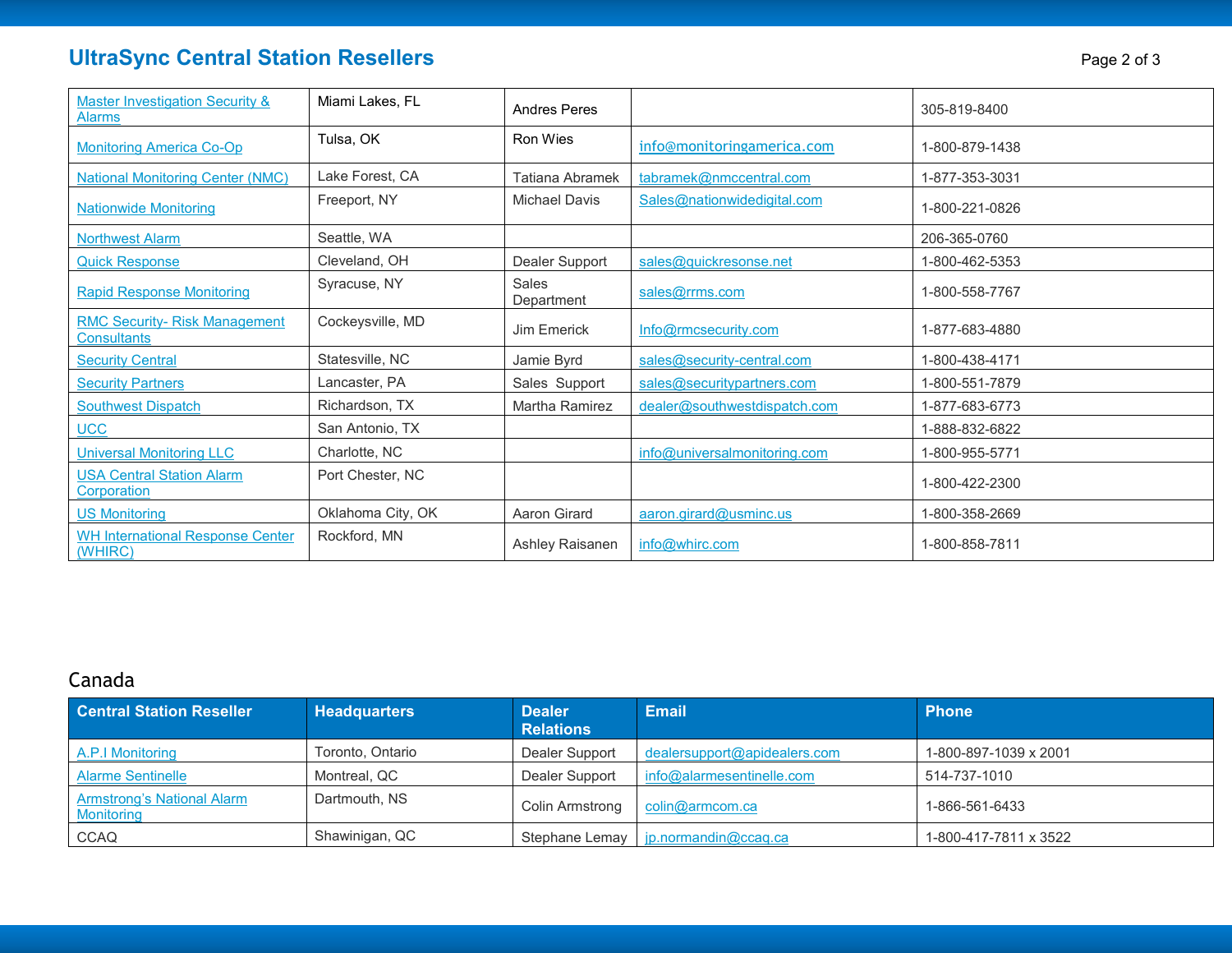## **UltraSync Central Station Resellers Page 2 of 3**

| Page 2 of 3 |  |  |
|-------------|--|--|
|             |  |  |

| <b>Master Investigation Security &amp;</b><br><b>Alarms</b> | Miami Lakes, FL   | Andres Peres               |                              | 305-819-8400   |
|-------------------------------------------------------------|-------------------|----------------------------|------------------------------|----------------|
| <b>Monitoring America Co-Op</b>                             | Tulsa, OK         | Ron Wies                   | info@monitoringamerica.com   | 1-800-879-1438 |
| <b>National Monitoring Center (NMC)</b>                     | Lake Forest, CA   | Tatiana Abramek            | tabramek@nmccentral.com      | 1-877-353-3031 |
| <b>Nationwide Monitoring</b>                                | Freeport, NY      | Michael Davis              | Sales@nationwidedigital.com  | 1-800-221-0826 |
| <b>Northwest Alarm</b>                                      | Seattle, WA       |                            |                              | 206-365-0760   |
| <b>Quick Response</b>                                       | Cleveland, OH     | Dealer Support             | sales@quickresonse.net       | 1-800-462-5353 |
| <b>Rapid Response Monitoring</b>                            | Syracuse, NY      | <b>Sales</b><br>Department | sales@rrms.com               | 1-800-558-7767 |
| <b>RMC Security- Risk Management</b><br><b>Consultants</b>  | Cockeysville, MD  | Jim Emerick                | Info@rmcsecurity.com         | 1-877-683-4880 |
| <b>Security Central</b>                                     | Statesville, NC   | Jamie Byrd                 | sales@security-central.com   | 1-800-438-4171 |
| <b>Security Partners</b>                                    | Lancaster, PA     | Sales Support              | sales@securitypartners.com   | 1-800-551-7879 |
| <b>Southwest Dispatch</b>                                   | Richardson, TX    | Martha Ramirez             | dealer@southwestdispatch.com | 1-877-683-6773 |
| <b>UCC</b>                                                  | San Antonio, TX   |                            |                              | 1-888-832-6822 |
| <b>Universal Monitoring LLC</b>                             | Charlotte, NC     |                            | info@universalmonitoring.com | 1-800-955-5771 |
| <b>USA Central Station Alarm</b><br>Corporation             | Port Chester, NC  |                            |                              | 1-800-422-2300 |
| <b>US Monitoring</b>                                        | Oklahoma City, OK | Aaron Girard               | aaron.girard@usminc.us       | 1-800-358-2669 |
| <b>WH International Response Center</b><br>(WHIRC)          | Rockford, MN      | Ashley Raisanen            | info@whirc.com               | 1-800-858-7811 |

### Canada

| <b>Central Station Reseller</b>                        | <b>Headquarters</b> | <b>Dealer</b><br><b>Relations</b> | <b>Email</b>                          | <b>Phone</b>          |
|--------------------------------------------------------|---------------------|-----------------------------------|---------------------------------------|-----------------------|
| A.P.I Monitoring                                       | Toronto, Ontario    | Dealer Support                    | dealersupport@apidealers.com          | 1-800-897-1039 x 2001 |
| <b>Alarme Sentinelle</b>                               | Montreal, QC        | Dealer Support                    | info@alarmesentinelle.com             | 514-737-1010          |
| <b>Armstrong's National Alarm</b><br><b>Monitoring</b> | Dartmouth, NS       | Colin Armstrong                   | colin@armcom.ca                       | 1-866-561-6433        |
| <b>CCAQ</b>                                            | Shawinigan, QC      |                                   | Stephane Lemay   jp.normandin@ccaq.ca | 1-800-417-7811 x 3522 |